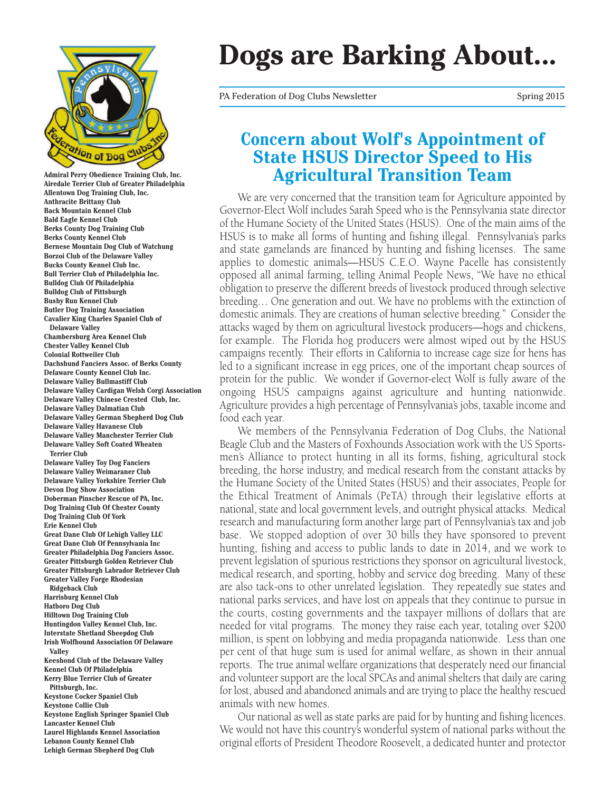

**Admiral Perry Obedience Training Club, Inc. Airedale Terrier Club of Greater Philadelphia Allentown Dog Training Club, Inc. Anthracite Brittany Club Back Mountain Kennel Club Bald Eagle Kennel Club Berks County Dog Training Club Berks County Kennel Club Bernese Mountain Dog Club of Watchung Borzoi Club of the Delaware Valley Bucks County Kennel Club Inc. Bull Terrier Club of Philadelphia Inc. Bulldog Club Of Philadelphia Bulldog Club of Pittsburgh Bushy Run Kennel Club Butler Dog Training Association Cavalier King Charles Spaniel Club of Delaware Valley Chambersburg Area Kennel Club Chester Valley Kennel Club Colonial Rottweiler Club Dachshund Fanciers Assoc. of Berks County Delaware County Kennel Club Inc. Delaware Valley Bullmastiff Club Delaware Valley Cardigan Welsh Corgi Association Delaware Valley Chinese Crested Club, Inc. Delaware Valley Dalmatian Club Delaware Valley German Shepherd Dog Club Delaware Valley Havanese Club Delaware Valley Manchester Terrier Club Delaware Valley Soft Coated Wheaten Terrier Club Delaware Valley Toy Dog Fanciers Delaware Valley Weimaraner Club Delaware Valley Yorkshire Terrier Club Devon Dog Show Association Doberman Pinscher Rescue of PA, Inc. Dog Training Club Of Chester County Dog Training Club Of York Erie Kennel Club Great Dane Club Of Lehigh Valley LLC Great Dane Club Of Pennsylvania Inc Greater Philadelphia Dog Fanciers Assoc. Greater Pittsburgh Golden Retriever Club Greater Pittsburgh Labrador Retriever Club Greater Valley Forge Rhodesian Ridgeback Club Harrisburg Kennel Club Hatboro Dog Club Hilltown Dog Training Club Huntingdon Valley Kennel Club, Inc. Interstate Shetland Sheepdog Club Irish Wolfhound Association Of Delaware Valley Keeshond Club of the Delaware Valley Kennel Club Of Philadelphia Kerry Blue Terrier Club of Greater Pittsburgh, Inc. Keystone Cocker Spaniel Club Keystone Collie Club Keystone English Springer Spaniel Club Lancaster Kennel Club Laurel Highlands Kennel Association Lebanon County Kennel Club**

#### **Lehigh German Shepherd Dog Club**

# **Dogs are Barking About...**

PA Federation of Dog Clubs Newsletter Spring 2015

## **Concern about Wolf's Appointment of State HSUS Director Speed to His Agricultural Transition Team**

We are very concerned that the transition team for Agriculture appointed by Governor-Elect Wolf includes Sarah Speed who is the Pennsylvania state director of the Humane Society of the United States (HSUS). One of the main aims of the HSUS is to make all forms of hunting and fishing illegal. Pennsylvania's parks and state gamelands are financed by hunting and fishing licenses. The same applies to domestic animals—HSUS C.E.O. Wayne Pacelle has consistently opposed all animal farming, telling Animal People News, "We have no ethical obligation to preserve the different breeds of livestock produced through selective breeding… One generation and out. We have no problems with the extinction of domestic animals. They are creations of human selective breeding." Consider the attacks waged by them on agricultural livestock producers—hogs and chickens, for example. The Florida hog producers were almost wiped out by the HSUS campaigns recently. Their efforts in California to increase cage size for hens has led to a significant increase in egg prices, one of the important cheap sources of protein for the public. We wonder if Governor-elect Wolf is fully aware of the ongoing HSUS campaigns against agriculture and hunting nationwide. Agriculture provides a high percentage of Pennsylvania's jobs, taxable income and food each year.

We members of the Pennsylvania Federation of Dog Clubs, the National Beagle Club and the Masters of Foxhounds Association work with the US Sportsmen's Alliance to protect hunting in all its forms, fishing, agricultural stock breeding, the horse industry, and medical research from the constant attacks by the Humane Society of the United States (HSUS) and their associates, People for the Ethical Treatment of Animals (PeTA) through their legislative efforts at national, state and local government levels, and outright physical attacks. Medical research and manufacturing form another large part of Pennsylvania's tax and job base. We stopped adoption of over 30 bills they have sponsored to prevent hunting, fishing and access to public lands to date in 2014, and we work to prevent legislation of spurious restrictions they sponsor on agricultural livestock, medical research, and sporting, hobby and service dog breeding. Many of these are also tack-ons to other unrelated legislation. They repeatedly sue states and national parks services, and have lost on appeals that they continue to pursue in the courts, costing governments and the taxpayer millions of dollars that are needed for vital programs. The money they raise each year, totaling over \$200 million, is spent on lobbying and media propaganda nationwide. Less than one per cent of that huge sum is used for animal welfare, as shown in their annual reports. The true animal welfare organizations that desperately need our financial and volunteer support are the local SPCAs and animal shelters that daily are caring for lost, abused and abandoned animals and are trying to place the healthy rescued animals with new homes.

Our national as well as state parks are paid for by hunting and fishing licences. We would not have this country's wonderful system of national parks without the original efforts of President Theodore Roosevelt, a dedicated hunter and protector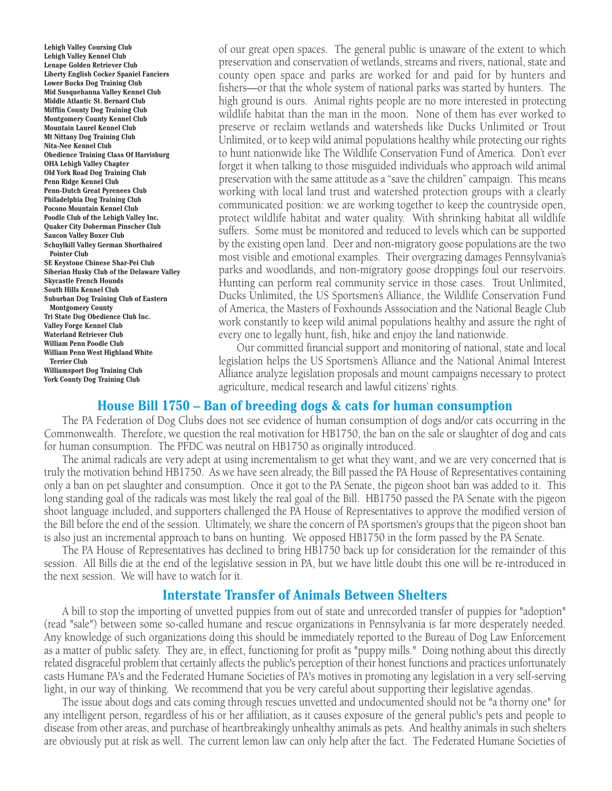**Lehigh Valley Coursing Club Lehigh Valley Kennel Club Lenape Golden Retriever Club Liberty English Cocker Spaniel Fanciers Lower Bucks Dog Training Club Mid Susquehanna Valley Kennel Club Middle Atlantic St. Bernard Club Mifflin County Dog Training Club Montgomery County Kennel Club Mountain Laurel Kennel Club Mt Nittany Dog Training Club Nita-Nee Kennel Club Obedience Training Class Of Harrisburg OHA Lehigh Valley Chapter Old York Road Dog Training Club Penn Ridge Kennel Club Penn-Dutch Great Pyrenees Club Philadelphia Dog Training Club Pocono Mountain Kennel Club Poodle Club of the Lehigh Valley Inc. Quaker City Doberman Pinscher Club Saucon Valley Boxer Club Schuylkill Valley German Shorthaired Pointer Club SE Keystone Chinese Shar-Pei Club Siberian Husky Club of the Delaware Valley Skycastle French Hounds South Hills Kennel Club Suburban Dog Training Club of Eastern Montgomery County Tri State Dog Obedience Club Inc. Valley Forge Kennel Club Waterland Retriever Club William Penn Poodle Club William Penn West Highland White Terrier Club Williamsport Dog Training Club York County Dog Training Club**

of our great open spaces. The general public is unaware of the extent to which preservation and conservation of wetlands, streams and rivers, national, state and county open space and parks are worked for and paid for by hunters and fishers—or that the whole system of national parks was started by hunters. The high ground is ours. Animal rights people are no more interested in protecting wildlife habitat than the man in the moon. None of them has ever worked to preserve or reclaim wetlands and watersheds like Ducks Unlimited or Trout Unlimited, or to keep wild animal populations healthy while protecting our rights to hunt nationwide like The Wildlife Conservation Fund of America. Don't ever forget it when talking to those misguided individuals who approach wild animal preservation with the same attitude as a "save the children" campaign. This means working with local land trust and watershed protection groups with a clearly communicated position: we are working together to keep the countryside open, protect wildlife habitat and water quality. With shrinking habitat all wildlife suffers. Some must be monitored and reduced to levels which can be supported by the existing open land. Deer and non-migratory goose populations are the two most visible and emotional examples. Their overgrazing damages Pennsylvania's parks and woodlands, and non-migratory goose droppings foul our reservoirs. Hunting can perform real community service in those cases. Trout Unlimited, Ducks Unlimited, the US Sportsmen's Alliance, the Wildlife Conservation Fund of America, the Masters of Foxhounds Asssociation and the National Beagle Club work constantly to keep wild animal populations healthy and assure the right of every one to legally hunt, fish, hike and enjoy the land nationwide.

Our committed financial support and monitoring of national, state and local legislation helps the US Sportsmen's Alliance and the National Animal Interest Alliance analyze legislation proposals and mount campaigns necessary to protect agriculture, medical research and lawful citizens' rights.

#### **House Bill 1750 – Ban of breeding dogs & cats for human consumption**

The PA Federation of Dog Clubs does not see evidence of human consumption of dogs and/or cats occurring in the Commonwealth. Therefore, we question the real motivation for HB1750, the ban on the sale or slaughter of dog and cats for human consumption. The PFDC was neutral on HB1750 as originally introduced.

The animal radicals are very adept at using incrementalism to get what they want, and we are very concerned that is truly the motivation behind HB1750. As we have seen already, the Bill passed the PA House of Representatives containing only a ban on pet slaughter and consumption. Once it got to the PA Senate, the pigeon shoot ban was added to it. This long standing goal of the radicals was most likely the real goal of the Bill. HB1750 passed the PA Senate with the pigeon shoot language included, and supporters challenged the PA House of Representatives to approve the modified version of the Bill before the end of the session. Ultimately, we share the concern of PA sportsmen's groups that the pigeon shoot ban is also just an incremental approach to bans on hunting. We opposed HB1750 in the form passed by the PA Senate.

The PA House of Representatives has declined to bring HB1750 back up for consideration for the remainder of this session. All Bills die at the end of the legislative session in PA, but we have little doubt this one will be re-introduced in the next session. We will have to watch for it.

#### **Interstate Transfer of Animals Between Shelters**

A bill to stop the importing of unvetted puppies from out of state and unrecorded transfer of puppies for "adoption" (read "sale") between some so-called humane and rescue organizations in Pennsylvania is far more desperately needed. Any knowledge of such organizations doing this should be immediately reported to the Bureau of Dog Law Enforcement as a matter of public safety. They are, in effect, functioning for profit as "puppy mills." Doing nothing about this directly related disgraceful problem that certainly affects the public's perception of their honest functions and practices unfortunately casts Humane PA's and the Federated Humane Societies of PA's motives in promoting any legislation in a very self-serving light, in our way of thinking. We recommend that you be very careful about supporting their legislative agendas.

The issue about dogs and cats coming through rescues unvetted and undocumented should not be "a thorny one" for any intelligent person, regardless of his or her affiliation, as it causes exposure of the general public's pets and people to disease from other areas, and purchase of heartbreakingly unhealthy animals as pets. And healthy animals in such shelters are obviously put at risk as well. The current lemon law can only help after the fact. The Federated Humane Societies of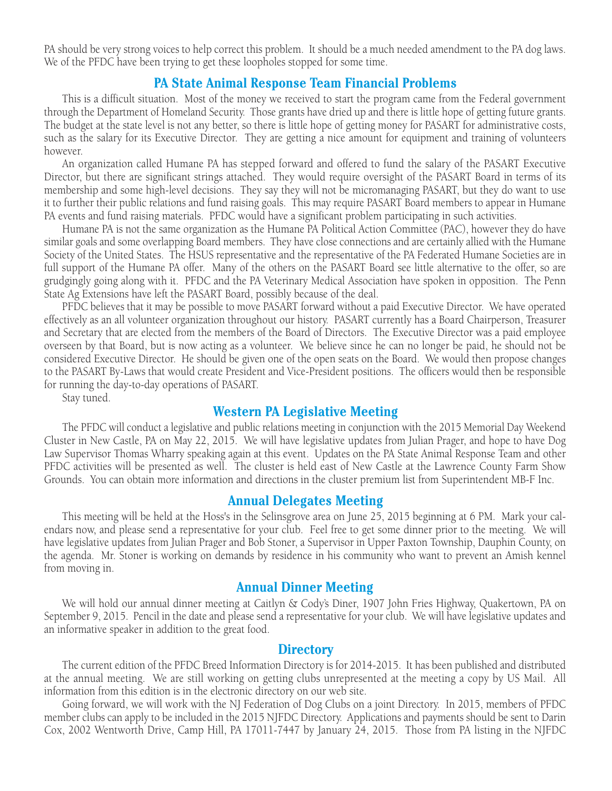PA should be very strong voices to help correct this problem. It should be a much needed amendment to the PA dog laws. We of the PFDC have been trying to get these loopholes stopped for some time.

#### **PA State Animal Response Team Financial Problems**

This is a difficult situation. Most of the money we received to start the program came from the Federal government through the Department of Homeland Security. Those grants have dried up and there is little hope of getting future grants. The budget at the state level is not any better, so there is little hope of getting money for PASART for administrative costs, such as the salary for its Executive Director. They are getting a nice amount for equipment and training of volunteers however.

An organization called Humane PA has stepped forward and offered to fund the salary of the PASART Executive Director, but there are significant strings attached. They would require oversight of the PASART Board in terms of its membership and some high-level decisions. They say they will not be micromanaging PASART, but they do want to use it to further their public relations and fund raising goals. This may require PASART Board members to appear in Humane PA events and fund raising materials. PFDC would have a significant problem participating in such activities.

Humane PA is not the same organization as the Humane PA Political Action Committee (PAC), however they do have similar goals and some overlapping Board members. They have close connections and are certainly allied with the Humane Society of the United States. The HSUS representative and the representative of the PA Federated Humane Societies are in full support of the Humane PA offer. Many of the others on the PASART Board see little alternative to the offer, so are grudgingly going along with it. PFDC and the PA Veterinary Medical Association have spoken in opposition. The Penn State Ag Extensions have left the PASART Board, possibly because of the deal.

PFDC believes that it may be possible to move PASART forward without a paid Executive Director. We have operated effectively as an all volunteer organization throughout our history. PASART currently has a Board Chairperson, Treasurer and Secretary that are elected from the members of the Board of Directors. The Executive Director was a paid employee overseen by that Board, but is now acting as a volunteer. We believe since he can no longer be paid, he should not be considered Executive Director. He should be given one of the open seats on the Board. We would then propose changes to the PASART By-Laws that would create President and Vice-President positions. The officers would then be responsible for running the day-to-day operations of PASART.

Stay tuned.

#### **Western PA Legislative Meeting**

The PFDC will conduct a legislative and public relations meeting in conjunction with the 2015 Memorial Day Weekend Cluster in New Castle, PA on May 22, 2015. We will have legislative updates from Julian Prager, and hope to have Dog Law Supervisor Thomas Wharry speaking again at this event. Updates on the PA State Animal Response Team and other PFDC activities will be presented as well. The cluster is held east of New Castle at the Lawrence County Farm Show Grounds. You can obtain more information and directions in the cluster premium list from Superintendent MB-F Inc.

#### **Annual Delegates Meeting**

This meeting will be held at the Hoss's in the Selinsgrove area on June 25, 2015 beginning at 6 PM. Mark your calendars now, and please send a representative for your club. Feel free to get some dinner prior to the meeting. We will have legislative updates from Julian Prager and Bob Stoner, a Supervisor in Upper Paxton Township, Dauphin County, on the agenda. Mr. Stoner is working on demands by residence in his community who want to prevent an Amish kennel from moving in.

#### **Annual Dinner Meeting**

We will hold our annual dinner meeting at Caitlyn & Cody's Diner, 1907 John Fries Highway, Quakertown, PA on September 9, 2015. Pencil in the date and please send a representative for your club. We will have legislative updates and an informative speaker in addition to the great food.

#### **Directory**

The current edition of the PFDC Breed Information Directory is for 2014-2015. It has been published and distributed at the annual meeting. We are still working on getting clubs unrepresented at the meeting a copy by US Mail. All information from this edition is in the electronic directory on our web site.

Going forward, we will work with the NJ Federation of Dog Clubs on a joint Directory. In 2015, members of PFDC member clubs can apply to be included in the 2015 NJFDC Directory. Applications and payments should be sent to Darin Cox, 2002 Wentworth Drive, Camp Hill, PA 17011-7447 by January 24, 2015. Those from PA listing in the NJFDC